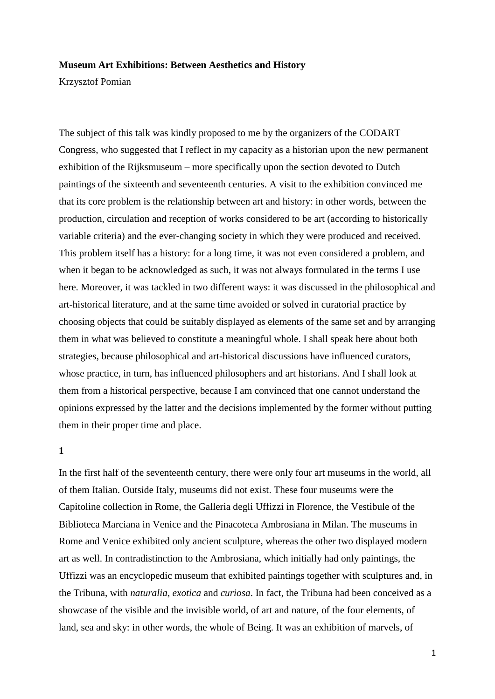### **Museum Art Exhibitions: Between Aesthetics and History**

Krzysztof Pomian

The subject of this talk was kindly proposed to me by the organizers of the CODART Congress, who suggested that I reflect in my capacity as a historian upon the new permanent exhibition of the Rijksmuseum – more specifically upon the section devoted to Dutch paintings of the sixteenth and seventeenth centuries. A visit to the exhibition convinced me that its core problem is the relationship between art and history: in other words, between the production, circulation and reception of works considered to be art (according to historically variable criteria) and the ever-changing society in which they were produced and received. This problem itself has a history: for a long time, it was not even considered a problem, and when it began to be acknowledged as such, it was not always formulated in the terms I use here. Moreover, it was tackled in two different ways: it was discussed in the philosophical and art-historical literature, and at the same time avoided or solved in curatorial practice by choosing objects that could be suitably displayed as elements of the same set and by arranging them in what was believed to constitute a meaningful whole. I shall speak here about both strategies, because philosophical and art-historical discussions have influenced curators, whose practice, in turn, has influenced philosophers and art historians. And I shall look at them from a historical perspective, because I am convinced that one cannot understand the opinions expressed by the latter and the decisions implemented by the former without putting them in their proper time and place.

# **1**

In the first half of the seventeenth century, there were only four art museums in the world, all of them Italian. Outside Italy, museums did not exist. These four museums were the Capitoline collection in Rome, the Galleria degli Uffizzi in Florence, the Vestibule of the Biblioteca Marciana in Venice and the Pinacoteca Ambrosiana in Milan. The museums in Rome and Venice exhibited only ancient sculpture, whereas the other two displayed modern art as well. In contradistinction to the Ambrosiana, which initially had only paintings, the Uffizzi was an encyclopedic museum that exhibited paintings together with sculptures and, in the Tribuna, with *naturalia*, *exotica* and *curiosa*. In fact, the Tribuna had been conceived as a showcase of the visible and the invisible world, of art and nature, of the four elements, of land, sea and sky: in other words, the whole of Being. It was an exhibition of marvels, of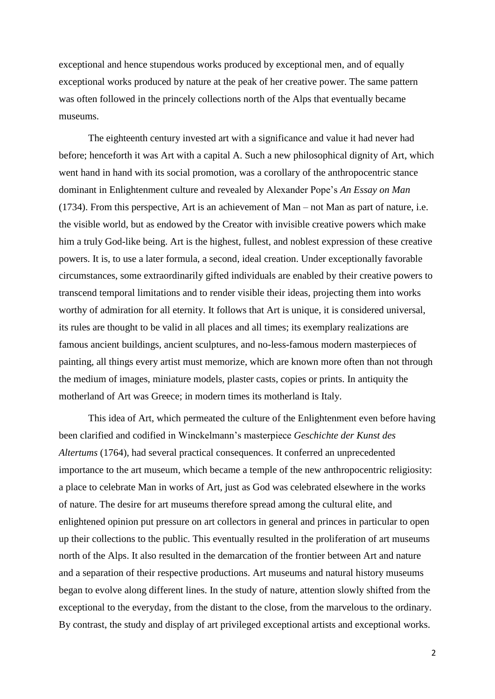exceptional and hence stupendous works produced by exceptional men, and of equally exceptional works produced by nature at the peak of her creative power. The same pattern was often followed in the princely collections north of the Alps that eventually became museums.

The eighteenth century invested art with a significance and value it had never had before; henceforth it was Art with a capital A. Such a new philosophical dignity of Art, which went hand in hand with its social promotion, was a corollary of the anthropocentric stance dominant in Enlightenment culture and revealed by Alexander Pope's *An Essay on Man* (1734). From this perspective, Art is an achievement of Man – not Man as part of nature, i.e. the visible world, but as endowed by the Creator with invisible creative powers which make him a truly God-like being. Art is the highest, fullest, and noblest expression of these creative powers. It is, to use a later formula, a second, ideal creation. Under exceptionally favorable circumstances, some extraordinarily gifted individuals are enabled by their creative powers to transcend temporal limitations and to render visible their ideas, projecting them into works worthy of admiration for all eternity. It follows that Art is unique, it is considered universal, its rules are thought to be valid in all places and all times; its exemplary realizations are famous ancient buildings, ancient sculptures, and no-less-famous modern masterpieces of painting, all things every artist must memorize, which are known more often than not through the medium of images, miniature models, plaster casts, copies or prints. In antiquity the motherland of Art was Greece; in modern times its motherland is Italy.

This idea of Art, which permeated the culture of the Enlightenment even before having been clarified and codified in Winckelmann's masterpiece *Geschichte der Kunst des Altertums* (1764), had several practical consequences. It conferred an unprecedented importance to the art museum, which became a temple of the new anthropocentric religiosity: a place to celebrate Man in works of Art, just as God was celebrated elsewhere in the works of nature. The desire for art museums therefore spread among the cultural elite, and enlightened opinion put pressure on art collectors in general and princes in particular to open up their collections to the public. This eventually resulted in the proliferation of art museums north of the Alps. It also resulted in the demarcation of the frontier between Art and nature and a separation of their respective productions. Art museums and natural history museums began to evolve along different lines. In the study of nature, attention slowly shifted from the exceptional to the everyday, from the distant to the close, from the marvelous to the ordinary. By contrast, the study and display of art privileged exceptional artists and exceptional works.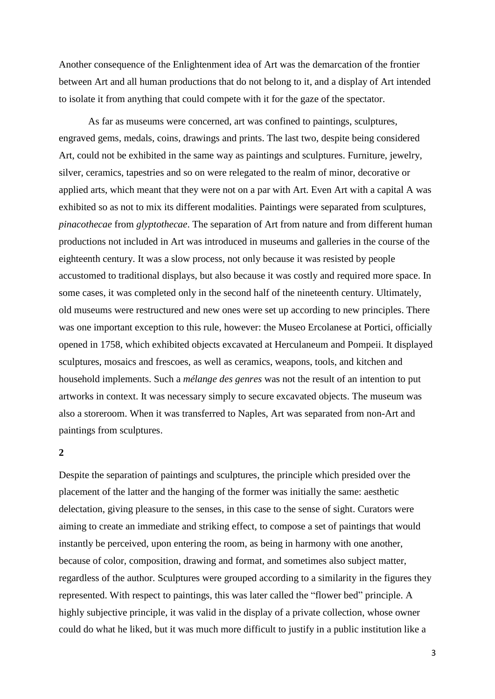Another consequence of the Enlightenment idea of Art was the demarcation of the frontier between Art and all human productions that do not belong to it, and a display of Art intended to isolate it from anything that could compete with it for the gaze of the spectator.

As far as museums were concerned, art was confined to paintings, sculptures, engraved gems, medals, coins, drawings and prints. The last two, despite being considered Art, could not be exhibited in the same way as paintings and sculptures. Furniture, jewelry, silver, ceramics, tapestries and so on were relegated to the realm of minor, decorative or applied arts, which meant that they were not on a par with Art. Even Art with a capital A was exhibited so as not to mix its different modalities. Paintings were separated from sculptures, *pinacothecae* from *glyptothecae*. The separation of Art from nature and from different human productions not included in Art was introduced in museums and galleries in the course of the eighteenth century. It was a slow process, not only because it was resisted by people accustomed to traditional displays, but also because it was costly and required more space. In some cases, it was completed only in the second half of the nineteenth century. Ultimately, old museums were restructured and new ones were set up according to new principles. There was one important exception to this rule, however: the Museo Ercolanese at Portici, officially opened in 1758, which exhibited objects excavated at Herculaneum and Pompeii. It displayed sculptures, mosaics and frescoes, as well as ceramics, weapons, tools, and kitchen and household implements. Such a *mélange des genres* was not the result of an intention to put artworks in context. It was necessary simply to secure excavated objects. The museum was also a storeroom. When it was transferred to Naples, Art was separated from non-Art and paintings from sculptures.

## **2**

Despite the separation of paintings and sculptures, the principle which presided over the placement of the latter and the hanging of the former was initially the same: aesthetic delectation, giving pleasure to the senses, in this case to the sense of sight. Curators were aiming to create an immediate and striking effect, to compose a set of paintings that would instantly be perceived, upon entering the room, as being in harmony with one another, because of color, composition, drawing and format, and sometimes also subject matter, regardless of the author. Sculptures were grouped according to a similarity in the figures they represented. With respect to paintings, this was later called the "flower bed" principle. A highly subjective principle, it was valid in the display of a private collection, whose owner could do what he liked, but it was much more difficult to justify in a public institution like a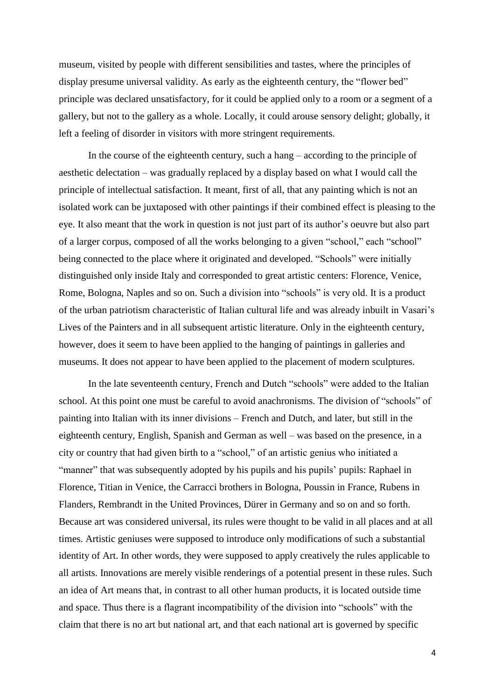museum, visited by people with different sensibilities and tastes, where the principles of display presume universal validity. As early as the eighteenth century, the "flower bed" principle was declared unsatisfactory, for it could be applied only to a room or a segment of a gallery, but not to the gallery as a whole. Locally, it could arouse sensory delight; globally, it left a feeling of disorder in visitors with more stringent requirements.

In the course of the eighteenth century, such a hang – according to the principle of aesthetic delectation – was gradually replaced by a display based on what I would call the principle of intellectual satisfaction. It meant, first of all, that any painting which is not an isolated work can be juxtaposed with other paintings if their combined effect is pleasing to the eye. It also meant that the work in question is not just part of its author's oeuvre but also part of a larger corpus, composed of all the works belonging to a given "school," each "school" being connected to the place where it originated and developed. "Schools" were initially distinguished only inside Italy and corresponded to great artistic centers: Florence, Venice, Rome, Bologna, Naples and so on. Such a division into "schools" is very old. It is a product of the urban patriotism characteristic of Italian cultural life and was already inbuilt in Vasari's Lives of the Painters and in all subsequent artistic literature. Only in the eighteenth century, however, does it seem to have been applied to the hanging of paintings in galleries and museums. It does not appear to have been applied to the placement of modern sculptures.

In the late seventeenth century, French and Dutch "schools" were added to the Italian school. At this point one must be careful to avoid anachronisms. The division of "schools" of painting into Italian with its inner divisions – French and Dutch, and later, but still in the eighteenth century, English, Spanish and German as well – was based on the presence, in a city or country that had given birth to a "school," of an artistic genius who initiated a "manner" that was subsequently adopted by his pupils and his pupils' pupils: Raphael in Florence, Titian in Venice, the Carracci brothers in Bologna, Poussin in France, Rubens in Flanders, Rembrandt in the United Provinces, Dürer in Germany and so on and so forth. Because art was considered universal, its rules were thought to be valid in all places and at all times. Artistic geniuses were supposed to introduce only modifications of such a substantial identity of Art. In other words, they were supposed to apply creatively the rules applicable to all artists. Innovations are merely visible renderings of a potential present in these rules. Such an idea of Art means that, in contrast to all other human products, it is located outside time and space. Thus there is a flagrant incompatibility of the division into "schools" with the claim that there is no art but national art, and that each national art is governed by specific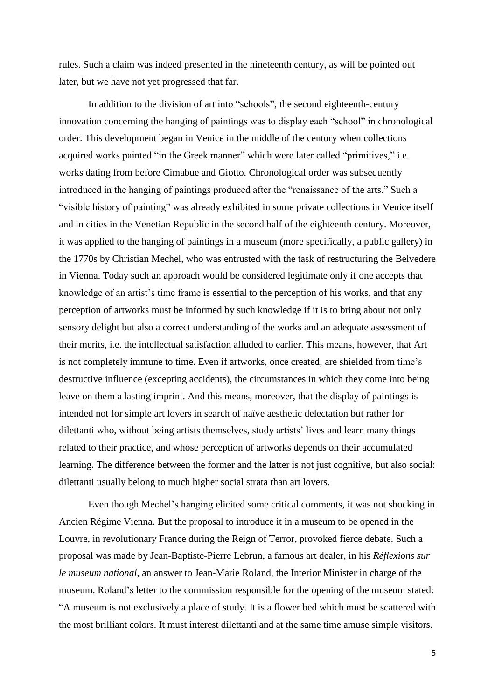rules. Such a claim was indeed presented in the nineteenth century, as will be pointed out later, but we have not yet progressed that far.

In addition to the division of art into "schools", the second eighteenth-century innovation concerning the hanging of paintings was to display each "school" in chronological order. This development began in Venice in the middle of the century when collections acquired works painted "in the Greek manner" which were later called "primitives," i.e. works dating from before Cimabue and Giotto. Chronological order was subsequently introduced in the hanging of paintings produced after the "renaissance of the arts." Such a "visible history of painting" was already exhibited in some private collections in Venice itself and in cities in the Venetian Republic in the second half of the eighteenth century. Moreover, it was applied to the hanging of paintings in a museum (more specifically, a public gallery) in the 1770s by Christian Mechel, who was entrusted with the task of restructuring the Belvedere in Vienna. Today such an approach would be considered legitimate only if one accepts that knowledge of an artist's time frame is essential to the perception of his works, and that any perception of artworks must be informed by such knowledge if it is to bring about not only sensory delight but also a correct understanding of the works and an adequate assessment of their merits*,* i.e. the intellectual satisfaction alluded to earlier. This means, however, that Art is not completely immune to time. Even if artworks, once created, are shielded from time's destructive influence (excepting accidents), the circumstances in which they come into being leave on them a lasting imprint. And this means, moreover, that the display of paintings is intended not for simple art lovers in search of naïve aesthetic delectation but rather for dilettanti who, without being artists themselves, study artists' lives and learn many things related to their practice, and whose perception of artworks depends on their accumulated learning. The difference between the former and the latter is not just cognitive, but also social: dilettanti usually belong to much higher social strata than art lovers.

Even though Mechel's hanging elicited some critical comments, it was not shocking in Ancien Régime Vienna. But the proposal to introduce it in a museum to be opened in the Louvre, in revolutionary France during the Reign of Terror, provoked fierce debate. Such a proposal was made by Jean-Baptiste-Pierre Lebrun, a famous art dealer, in his *Réflexions sur le museum national*, an answer to Jean-Marie Roland, the Interior Minister in charge of the museum. Roland's letter to the commission responsible for the opening of the museum stated: "A museum is not exclusively a place of study. It is a flower bed which must be scattered with the most brilliant colors. It must interest dilettanti and at the same time amuse simple visitors.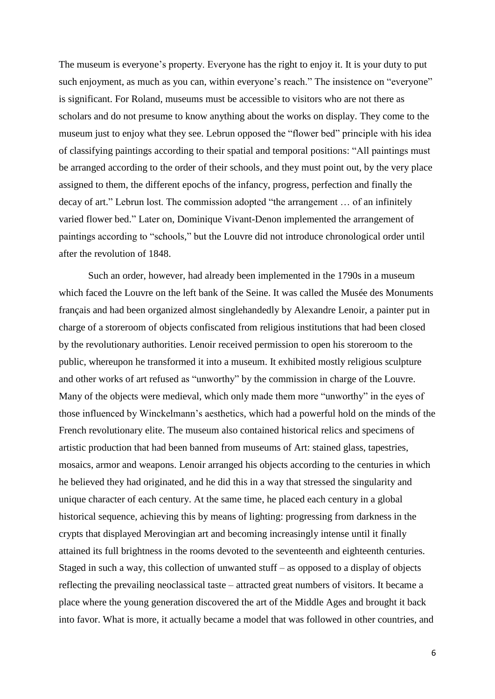The museum is everyone's property. Everyone has the right to enjoy it. It is your duty to put such enjoyment, as much as you can, within everyone's reach." The insistence on "everyone" is significant. For Roland, museums must be accessible to visitors who are not there as scholars and do not presume to know anything about the works on display. They come to the museum just to enjoy what they see. Lebrun opposed the "flower bed" principle with his idea of classifying paintings according to their spatial and temporal positions: "All paintings must be arranged according to the order of their schools, and they must point out, by the very place assigned to them, the different epochs of the infancy, progress, perfection and finally the decay of art." Lebrun lost. The commission adopted "the arrangement … of an infinitely varied flower bed." Later on, Dominique Vivant-Denon implemented the arrangement of paintings according to "schools," but the Louvre did not introduce chronological order until after the revolution of 1848.

Such an order, however, had already been implemented in the 1790s in a museum which faced the Louvre on the left bank of the Seine. It was called the Musée des Monuments français and had been organized almost singlehandedly by Alexandre Lenoir, a painter put in charge of a storeroom of objects confiscated from religious institutions that had been closed by the revolutionary authorities. Lenoir received permission to open his storeroom to the public, whereupon he transformed it into a museum. It exhibited mostly religious sculpture and other works of art refused as "unworthy" by the commission in charge of the Louvre. Many of the objects were medieval, which only made them more "unworthy" in the eyes of those influenced by Winckelmann's aesthetics, which had a powerful hold on the minds of the French revolutionary elite. The museum also contained historical relics and specimens of artistic production that had been banned from museums of Art: stained glass, tapestries, mosaics, armor and weapons. Lenoir arranged his objects according to the centuries in which he believed they had originated, and he did this in a way that stressed the singularity and unique character of each century. At the same time, he placed each century in a global historical sequence, achieving this by means of lighting: progressing from darkness in the crypts that displayed Merovingian art and becoming increasingly intense until it finally attained its full brightness in the rooms devoted to the seventeenth and eighteenth centuries. Staged in such a way, this collection of unwanted stuff – as opposed to a display of objects reflecting the prevailing neoclassical taste – attracted great numbers of visitors. It became a place where the young generation discovered the art of the Middle Ages and brought it back into favor. What is more, it actually became a model that was followed in other countries, and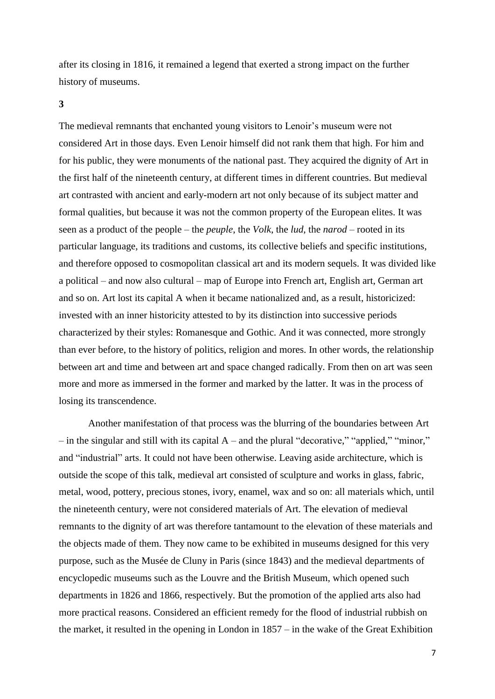after its closing in 1816, it remained a legend that exerted a strong impact on the further history of museums.

### **3**

The medieval remnants that enchanted young visitors to Lenoir's museum were not considered Art in those days. Even Lenoir himself did not rank them that high. For him and for his public, they were monuments of the national past. They acquired the dignity of Art in the first half of the nineteenth century, at different times in different countries. But medieval art contrasted with ancient and early-modern art not only because of its subject matter and formal qualities, but because it was not the common property of the European elites. It was seen as a product of the people – the *peuple*, the *Volk*, the *lud*, the *narod* – rooted in its particular language, its traditions and customs, its collective beliefs and specific institutions, and therefore opposed to cosmopolitan classical art and its modern sequels. It was divided like a political – and now also cultural – map of Europe into French art, English art, German art and so on. Art lost its capital A when it became nationalized and, as a result, historicized: invested with an inner historicity attested to by its distinction into successive periods characterized by their styles: Romanesque and Gothic. And it was connected, more strongly than ever before, to the history of politics, religion and mores. In other words, the relationship between art and time and between art and space changed radically. From then on art was seen more and more as immersed in the former and marked by the latter. It was in the process of losing its transcendence.

Another manifestation of that process was the blurring of the boundaries between Art  $-$  in the singular and still with its capital A – and the plural "decorative," "applied," "minor," and "industrial" arts. It could not have been otherwise. Leaving aside architecture, which is outside the scope of this talk, medieval art consisted of sculpture and works in glass, fabric, metal, wood, pottery, precious stones, ivory, enamel, wax and so on: all materials which, until the nineteenth century, were not considered materials of Art. The elevation of medieval remnants to the dignity of art was therefore tantamount to the elevation of these materials and the objects made of them. They now came to be exhibited in museums designed for this very purpose, such as the Musée de Cluny in Paris (since 1843) and the medieval departments of encyclopedic museums such as the Louvre and the British Museum, which opened such departments in 1826 and 1866, respectively. But the promotion of the applied arts also had more practical reasons. Considered an efficient remedy for the flood of industrial rubbish on the market, it resulted in the opening in London in 1857 – in the wake of the Great Exhibition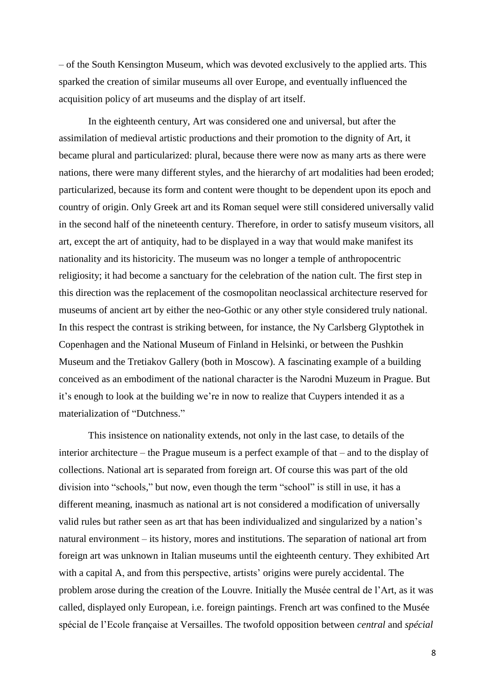– of the South Kensington Museum, which was devoted exclusively to the applied arts. This sparked the creation of similar museums all over Europe, and eventually influenced the acquisition policy of art museums and the display of art itself.

In the eighteenth century, Art was considered one and universal, but after the assimilation of medieval artistic productions and their promotion to the dignity of Art, it became plural and particularized: plural, because there were now as many arts as there were nations, there were many different styles, and the hierarchy of art modalities had been eroded; particularized, because its form and content were thought to be dependent upon its epoch and country of origin. Only Greek art and its Roman sequel were still considered universally valid in the second half of the nineteenth century. Therefore, in order to satisfy museum visitors, all art, except the art of antiquity, had to be displayed in a way that would make manifest its nationality and its historicity. The museum was no longer a temple of anthropocentric religiosity; it had become a sanctuary for the celebration of the nation cult. The first step in this direction was the replacement of the cosmopolitan neoclassical architecture reserved for museums of ancient art by either the neo-Gothic or any other style considered truly national. In this respect the contrast is striking between, for instance, the Ny Carlsberg Glyptothek in Copenhagen and the National Museum of Finland in Helsinki, or between the Pushkin Museum and the Tretiakov Gallery (both in Moscow). A fascinating example of a building conceived as an embodiment of the national character is the Narodni Muzeum in Prague. But it's enough to look at the building we're in now to realize that Cuypers intended it as a materialization of "Dutchness."

This insistence on nationality extends, not only in the last case, to details of the interior architecture – the Prague museum is a perfect example of that – and to the display of collections. National art is separated from foreign art. Of course this was part of the old division into "schools," but now, even though the term "school" is still in use, it has a different meaning, inasmuch as national art is not considered a modification of universally valid rules but rather seen as art that has been individualized and singularized by a nation's natural environment – its history, mores and institutions. The separation of national art from foreign art was unknown in Italian museums until the eighteenth century. They exhibited Art with a capital A, and from this perspective, artists' origins were purely accidental. The problem arose during the creation of the Louvre. Initially the Musée central de l'Art, as it was called, displayed only European, i.e. foreign paintings. French art was confined to the Musée spécial de l'Ecole française at Versailles. The twofold opposition between *central* and *spécial*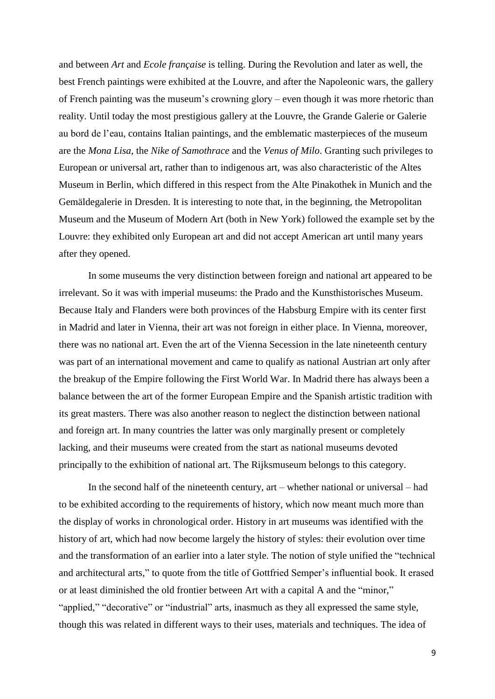and between *Art* and *Ecole française* is telling. During the Revolution and later as well, the best French paintings were exhibited at the Louvre, and after the Napoleonic wars, the gallery of French painting was the museum's crowning glory – even though it was more rhetoric than reality. Until today the most prestigious gallery at the Louvre, the Grande Galerie or Galerie au bord de l'eau, contains Italian paintings, and the emblematic masterpieces of the museum are the *Mona Lisa*, the *Nike of Samothrace* and the *Venus of Milo*. Granting such privileges to European or universal art, rather than to indigenous art, was also characteristic of the Altes Museum in Berlin, which differed in this respect from the Alte Pinakothek in Munich and the Gemäldegalerie in Dresden. It is interesting to note that, in the beginning, the Metropolitan Museum and the Museum of Modern Art (both in New York) followed the example set by the Louvre: they exhibited only European art and did not accept American art until many years after they opened.

In some museums the very distinction between foreign and national art appeared to be irrelevant. So it was with imperial museums: the Prado and the Kunsthistorisches Museum. Because Italy and Flanders were both provinces of the Habsburg Empire with its center first in Madrid and later in Vienna, their art was not foreign in either place. In Vienna, moreover, there was no national art. Even the art of the Vienna Secession in the late nineteenth century was part of an international movement and came to qualify as national Austrian art only after the breakup of the Empire following the First World War. In Madrid there has always been a balance between the art of the former European Empire and the Spanish artistic tradition with its great masters. There was also another reason to neglect the distinction between national and foreign art. In many countries the latter was only marginally present or completely lacking, and their museums were created from the start as national museums devoted principally to the exhibition of national art. The Rijksmuseum belongs to this category.

In the second half of the nineteenth century, art – whether national or universal – had to be exhibited according to the requirements of history, which now meant much more than the display of works in chronological order. History in art museums was identified with the history of art, which had now become largely the history of styles: their evolution over time and the transformation of an earlier into a later style. The notion of style unified the "technical and architectural arts," to quote from the title of Gottfried Semper's influential book. It erased or at least diminished the old frontier between Art with a capital A and the "minor," "applied," "decorative" or "industrial" arts, inasmuch as they all expressed the same style, though this was related in different ways to their uses, materials and techniques. The idea of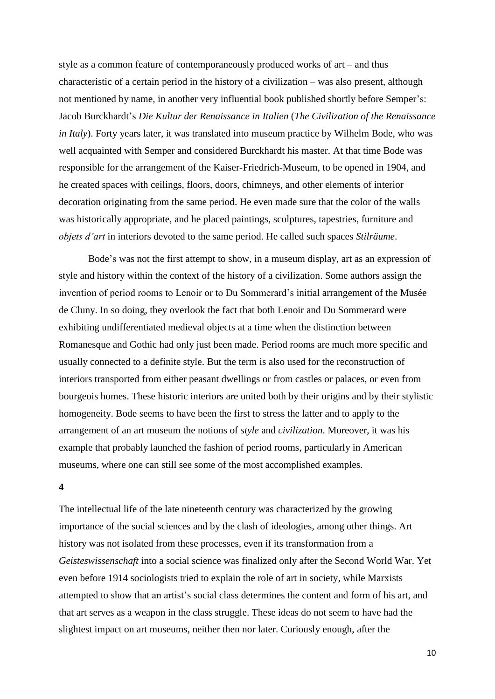style as a common feature of contemporaneously produced works of art – and thus characteristic of a certain period in the history of a civilization – was also present, although not mentioned by name, in another very influential book published shortly before Semper's: Jacob Burckhardt's *Die Kultur der Renaissance in Italien* (*The Civilization of the Renaissance in Italy*). Forty years later, it was translated into museum practice by Wilhelm Bode, who was well acquainted with Semper and considered Burckhardt his master. At that time Bode was responsible for the arrangement of the Kaiser-Friedrich-Museum, to be opened in 1904, and he created spaces with ceilings, floors, doors, chimneys, and other elements of interior decoration originating from the same period. He even made sure that the color of the walls was historically appropriate, and he placed paintings, sculptures, tapestries, furniture and *objets d'art* in interiors devoted to the same period. He called such spaces *Stilräume*.

Bode's was not the first attempt to show, in a museum display, art as an expression of style and history within the context of the history of a civilization. Some authors assign the invention of period rooms to Lenoir or to Du Sommerard's initial arrangement of the Musée de Cluny. In so doing, they overlook the fact that both Lenoir and Du Sommerard were exhibiting undifferentiated medieval objects at a time when the distinction between Romanesque and Gothic had only just been made. Period rooms are much more specific and usually connected to a definite style. But the term is also used for the reconstruction of interiors transported from either peasant dwellings or from castles or palaces, or even from bourgeois homes. These historic interiors are united both by their origins and by their stylistic homogeneity. Bode seems to have been the first to stress the latter and to apply to the arrangement of an art museum the notions of *style* and *civilization*. Moreover, it was his example that probably launched the fashion of period rooms, particularly in American museums, where one can still see some of the most accomplished examples.

#### **4**

The intellectual life of the late nineteenth century was characterized by the growing importance of the social sciences and by the clash of ideologies, among other things. Art history was not isolated from these processes, even if its transformation from a *Geisteswissenschaft* into a social science was finalized only after the Second World War. Yet even before 1914 sociologists tried to explain the role of art in society, while Marxists attempted to show that an artist's social class determines the content and form of his art, and that art serves as a weapon in the class struggle. These ideas do not seem to have had the slightest impact on art museums, neither then nor later. Curiously enough, after the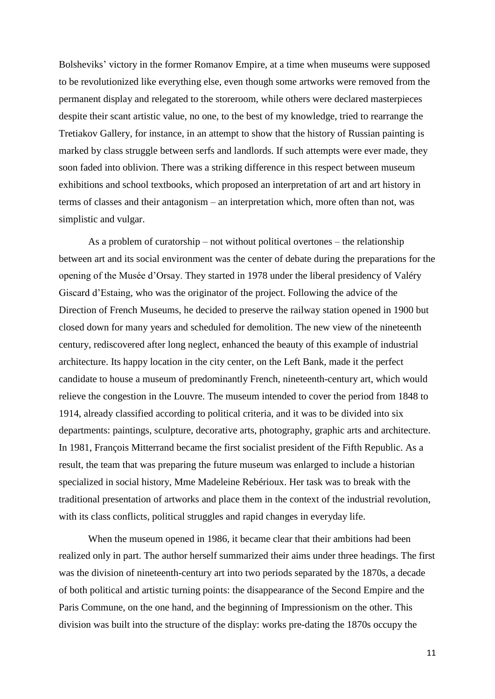Bolsheviks' victory in the former Romanov Empire, at a time when museums were supposed to be revolutionized like everything else, even though some artworks were removed from the permanent display and relegated to the storeroom, while others were declared masterpieces despite their scant artistic value, no one, to the best of my knowledge, tried to rearrange the Tretiakov Gallery, for instance, in an attempt to show that the history of Russian painting is marked by class struggle between serfs and landlords. If such attempts were ever made, they soon faded into oblivion. There was a striking difference in this respect between museum exhibitions and school textbooks, which proposed an interpretation of art and art history in terms of classes and their antagonism – an interpretation which, more often than not, was simplistic and vulgar.

As a problem of curatorship – not without political overtones – the relationship between art and its social environment was the center of debate during the preparations for the opening of the Musée d'Orsay. They started in 1978 under the liberal presidency of Valéry Giscard d'Estaing, who was the originator of the project. Following the advice of the Direction of French Museums, he decided to preserve the railway station opened in 1900 but closed down for many years and scheduled for demolition. The new view of the nineteenth century, rediscovered after long neglect, enhanced the beauty of this example of industrial architecture. Its happy location in the city center, on the Left Bank, made it the perfect candidate to house a museum of predominantly French, nineteenth-century art, which would relieve the congestion in the Louvre. The museum intended to cover the period from 1848 to 1914, already classified according to political criteria, and it was to be divided into six departments: paintings, sculpture, decorative arts, photography, graphic arts and architecture. In 1981, François Mitterrand became the first socialist president of the Fifth Republic. As a result, the team that was preparing the future museum was enlarged to include a historian specialized in social history, Mme Madeleine Rebérioux. Her task was to break with the traditional presentation of artworks and place them in the context of the industrial revolution, with its class conflicts, political struggles and rapid changes in everyday life.

When the museum opened in 1986, it became clear that their ambitions had been realized only in part. The author herself summarized their aims under three headings. The first was the division of nineteenth-century art into two periods separated by the 1870s, a decade of both political and artistic turning points: the disappearance of the Second Empire and the Paris Commune, on the one hand, and the beginning of Impressionism on the other. This division was built into the structure of the display: works pre-dating the 1870s occupy the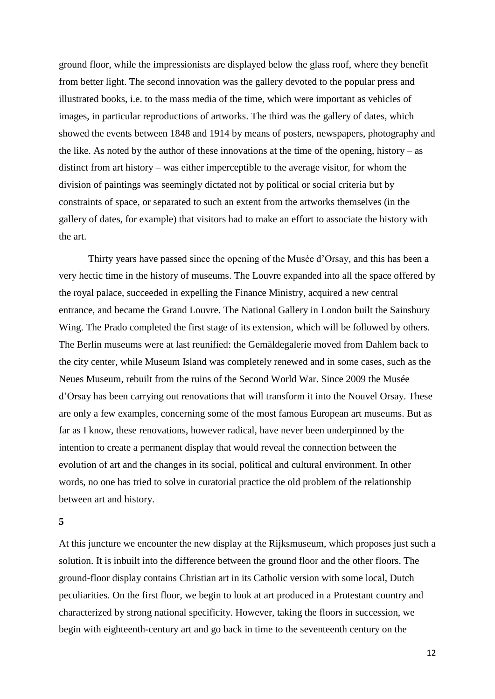ground floor, while the impressionists are displayed below the glass roof, where they benefit from better light. The second innovation was the gallery devoted to the popular press and illustrated books, i.e. to the mass media of the time, which were important as vehicles of images, in particular reproductions of artworks. The third was the gallery of dates, which showed the events between 1848 and 1914 by means of posters, newspapers, photography and the like. As noted by the author of these innovations at the time of the opening, history – as distinct from art history – was either imperceptible to the average visitor, for whom the division of paintings was seemingly dictated not by political or social criteria but by constraints of space, or separated to such an extent from the artworks themselves (in the gallery of dates, for example) that visitors had to make an effort to associate the history with the art.

Thirty years have passed since the opening of the Musée d'Orsay, and this has been a very hectic time in the history of museums. The Louvre expanded into all the space offered by the royal palace, succeeded in expelling the Finance Ministry, acquired a new central entrance, and became the Grand Louvre. The National Gallery in London built the Sainsbury Wing. The Prado completed the first stage of its extension, which will be followed by others. The Berlin museums were at last reunified: the Gemäldegalerie moved from Dahlem back to the city center, while Museum Island was completely renewed and in some cases, such as the Neues Museum, rebuilt from the ruins of the Second World War. Since 2009 the Musée d'Orsay has been carrying out renovations that will transform it into the Nouvel Orsay. These are only a few examples, concerning some of the most famous European art museums. But as far as I know, these renovations, however radical, have never been underpinned by the intention to create a permanent display that would reveal the connection between the evolution of art and the changes in its social, political and cultural environment. In other words, no one has tried to solve in curatorial practice the old problem of the relationship between art and history.

#### **5**

At this juncture we encounter the new display at the Rijksmuseum, which proposes just such a solution. It is inbuilt into the difference between the ground floor and the other floors. The ground-floor display contains Christian art in its Catholic version with some local, Dutch peculiarities. On the first floor, we begin to look at art produced in a Protestant country and characterized by strong national specificity. However, taking the floors in succession, we begin with eighteenth-century art and go back in time to the seventeenth century on the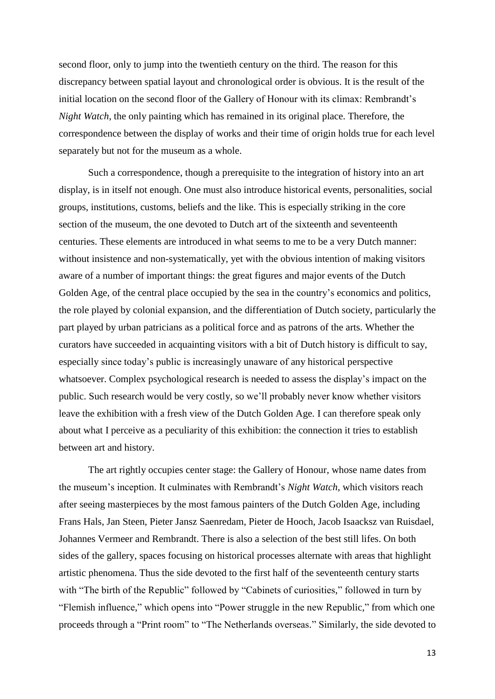second floor, only to jump into the twentieth century on the third. The reason for this discrepancy between spatial layout and chronological order is obvious. It is the result of the initial location on the second floor of the Gallery of Honour with its climax: Rembrandt's *Night Watch*, the only painting which has remained in its original place. Therefore, the correspondence between the display of works and their time of origin holds true for each level separately but not for the museum as a whole.

Such a correspondence, though a prerequisite to the integration of history into an art display, is in itself not enough. One must also introduce historical events, personalities, social groups, institutions, customs, beliefs and the like. This is especially striking in the core section of the museum, the one devoted to Dutch art of the sixteenth and seventeenth centuries. These elements are introduced in what seems to me to be a very Dutch manner: without insistence and non-systematically, yet with the obvious intention of making visitors aware of a number of important things: the great figures and major events of the Dutch Golden Age, of the central place occupied by the sea in the country's economics and politics, the role played by colonial expansion, and the differentiation of Dutch society, particularly the part played by urban patricians as a political force and as patrons of the arts. Whether the curators have succeeded in acquainting visitors with a bit of Dutch history is difficult to say, especially since today's public is increasingly unaware of any historical perspective whatsoever. Complex psychological research is needed to assess the display's impact on the public. Such research would be very costly, so we'll probably never know whether visitors leave the exhibition with a fresh view of the Dutch Golden Age. I can therefore speak only about what I perceive as a peculiarity of this exhibition: the connection it tries to establish between art and history.

The art rightly occupies center stage: the Gallery of Honour, whose name dates from the museum's inception. It culminates with Rembrandt's *Night Watch*, which visitors reach after seeing masterpieces by the most famous painters of the Dutch Golden Age, including Frans Hals, Jan Steen, Pieter Jansz Saenredam, Pieter de Hooch, Jacob Isaacksz van Ruisdael, Johannes Vermeer and Rembrandt. There is also a selection of the best still lifes. On both sides of the gallery, spaces focusing on historical processes alternate with areas that highlight artistic phenomena. Thus the side devoted to the first half of the seventeenth century starts with "The birth of the Republic" followed by "Cabinets of curiosities," followed in turn by "Flemish influence," which opens into "Power struggle in the new Republic," from which one proceeds through a "Print room" to "The Netherlands overseas." Similarly, the side devoted to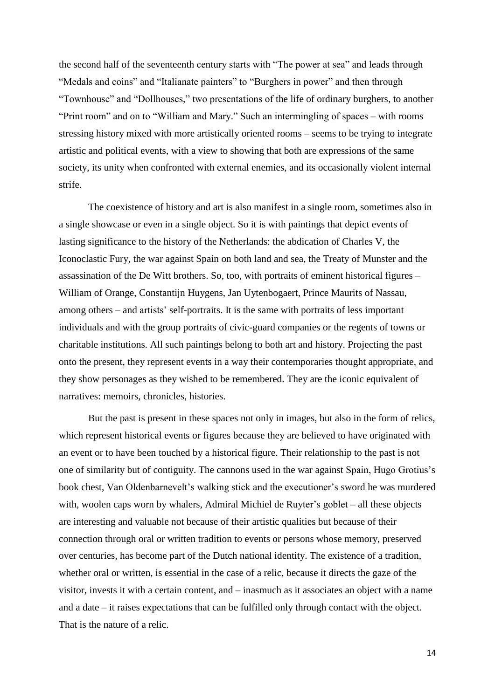the second half of the seventeenth century starts with "The power at sea" and leads through "Medals and coins" and "Italianate painters" to "Burghers in power" and then through "Townhouse" and "Dollhouses," two presentations of the life of ordinary burghers, to another "Print room" and on to "William and Mary." Such an intermingling of spaces – with rooms stressing history mixed with more artistically oriented rooms – seems to be trying to integrate artistic and political events, with a view to showing that both are expressions of the same society, its unity when confronted with external enemies, and its occasionally violent internal strife.

The coexistence of history and art is also manifest in a single room, sometimes also in a single showcase or even in a single object. So it is with paintings that depict events of lasting significance to the history of the Netherlands: the abdication of Charles V, the Iconoclastic Fury, the war against Spain on both land and sea, the Treaty of Munster and the assassination of the De Witt brothers. So, too, with portraits of eminent historical figures – William of Orange, Constantijn Huygens, Jan Uytenbogaert, Prince Maurits of Nassau, among others – and artists' self-portraits. It is the same with portraits of less important individuals and with the group portraits of civic-guard companies or the regents of towns or charitable institutions. All such paintings belong to both art and history. Projecting the past onto the present, they represent events in a way their contemporaries thought appropriate, and they show personages as they wished to be remembered. They are the iconic equivalent of narratives: memoirs, chronicles, histories.

But the past is present in these spaces not only in images, but also in the form of relics, which represent historical events or figures because they are believed to have originated with an event or to have been touched by a historical figure. Their relationship to the past is not one of similarity but of contiguity. The cannons used in the war against Spain, Hugo Grotius's book chest, Van Oldenbarnevelt's walking stick and the executioner's sword he was murdered with, woolen caps worn by whalers, Admiral Michiel de Ruyter's goblet – all these objects are interesting and valuable not because of their artistic qualities but because of their connection through oral or written tradition to events or persons whose memory, preserved over centuries, has become part of the Dutch national identity. The existence of a tradition, whether oral or written, is essential in the case of a relic, because it directs the gaze of the visitor, invests it with a certain content, and – inasmuch as it associates an object with a name and a date – it raises expectations that can be fulfilled only through contact with the object. That is the nature of a relic.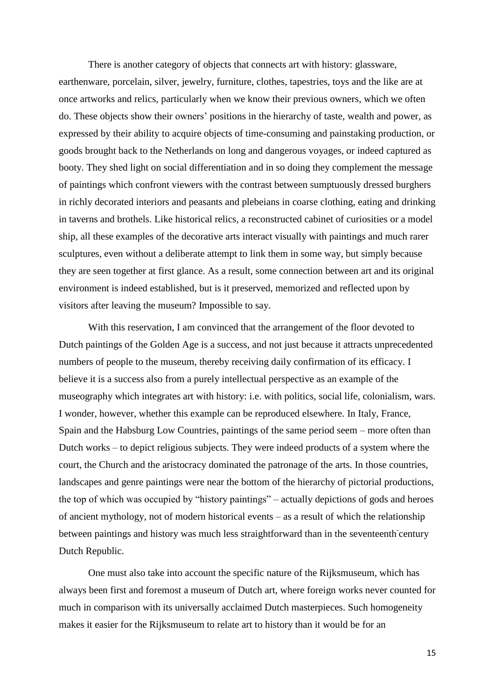There is another category of objects that connects art with history: glassware, earthenware, porcelain, silver, jewelry, furniture, clothes, tapestries, toys and the like are at once artworks and relics, particularly when we know their previous owners, which we often do. These objects show their owners' positions in the hierarchy of taste, wealth and power, as expressed by their ability to acquire objects of time-consuming and painstaking production, or goods brought back to the Netherlands on long and dangerous voyages, or indeed captured as booty. They shed light on social differentiation and in so doing they complement the message of paintings which confront viewers with the contrast between sumptuously dressed burghers in richly decorated interiors and peasants and plebeians in coarse clothing, eating and drinking in taverns and brothels. Like historical relics, a reconstructed cabinet of curiosities or a model ship, all these examples of the decorative arts interact visually with paintings and much rarer sculptures, even without a deliberate attempt to link them in some way, but simply because they are seen together at first glance. As a result, some connection between art and its original environment is indeed established, but is it preserved, memorized and reflected upon by visitors after leaving the museum? Impossible to say.

With this reservation, I am convinced that the arrangement of the floor devoted to Dutch paintings of the Golden Age is a success, and not just because it attracts unprecedented numbers of people to the museum, thereby receiving daily confirmation of its efficacy. I believe it is a success also from a purely intellectual perspective as an example of the museography which integrates art with history: i.e. with politics, social life, colonialism, wars. I wonder, however, whether this example can be reproduced elsewhere. In Italy, France, Spain and the Habsburg Low Countries, paintings of the same period seem – more often than Dutch works – to depict religious subjects. They were indeed products of a system where the court, the Church and the aristocracy dominated the patronage of the arts. In those countries, landscapes and genre paintings were near the bottom of the hierarchy of pictorial productions, the top of which was occupied by "history paintings" – actually depictions of gods and heroes of ancient mythology, not of modern historical events – as a result of which the relationship between paintings and history was much less straightforward than in the seventeenth century Dutch Republic.

One must also take into account the specific nature of the Rijksmuseum, which has always been first and foremost a museum of Dutch art, where foreign works never counted for much in comparison with its universally acclaimed Dutch masterpieces. Such homogeneity makes it easier for the Rijksmuseum to relate art to history than it would be for an